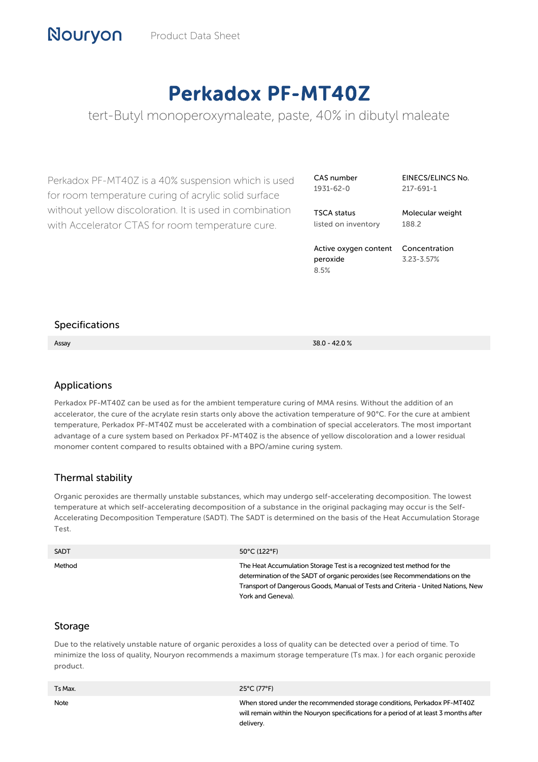# Perkadox PF-MT40Z

tert-Butyl monoperoxymaleate, paste, 40% in dibutyl maleate

Perkadox PF-MT40Z is a 40% suspension which is used for room temperature curing of acrylic solid surface without yellow discoloration. It is used in combination with Accelerator CTAS for room temperature cure.

CAS number 1931-62-0

EINECS/ELINCS No. 217-691-1

TSCA status listed on inventory Molecular weight 188.2

Active oxygen content peroxide 8.5%

Concentration 3.23-3.57%

#### Specifications

Assay 38.0 - 42.0 %

## Applications

Perkadox PF-MT40Z can be used as for the ambient temperature curing of MMA resins. Without the addition of an accelerator, the cure of the acrylate resin starts only above the activation temperature of 90°C. For the cure at ambient temperature, Perkadox PF-MT40Z must be accelerated with a combination of special accelerators. The most important advantage of a cure system based on Perkadox PF-MT40Z is the absence of yellow discoloration and a lower residual monomer content compared to results obtained with a BPO/amine curing system.

#### Thermal stability

Organic peroxides are thermally unstable substances, which may undergo self-accelerating decomposition. The lowest temperature at which self-accelerating decomposition of a substance in the original packaging may occur is the Self-Accelerating Decomposition Temperature (SADT). The SADT is determined on the basis of the Heat Accumulation Storage Test.

| <b>SADT</b> | 50°C (122°F)                                                                                                                                                                                                                                                  |
|-------------|---------------------------------------------------------------------------------------------------------------------------------------------------------------------------------------------------------------------------------------------------------------|
| Method      | The Heat Accumulation Storage Test is a recognized test method for the<br>determination of the SADT of organic peroxides (see Recommendations on the<br>Transport of Dangerous Goods, Manual of Tests and Criteria - United Nations, New<br>York and Geneva). |

#### Storage

Due to the relatively unstable nature of organic peroxides a loss of quality can be detected over a period of time. To minimize the loss of quality, Nouryon recommends a maximum storage temperature (Ts max. ) for each organic peroxide product.

| Ts Max. | 25°C (77°F)                                                                                                                                                                   |
|---------|-------------------------------------------------------------------------------------------------------------------------------------------------------------------------------|
| Note    | When stored under the recommended storage conditions, Perkadox PF-MT40Z<br>will remain within the Nouryon specifications for a period of at least 3 months after<br>delivery. |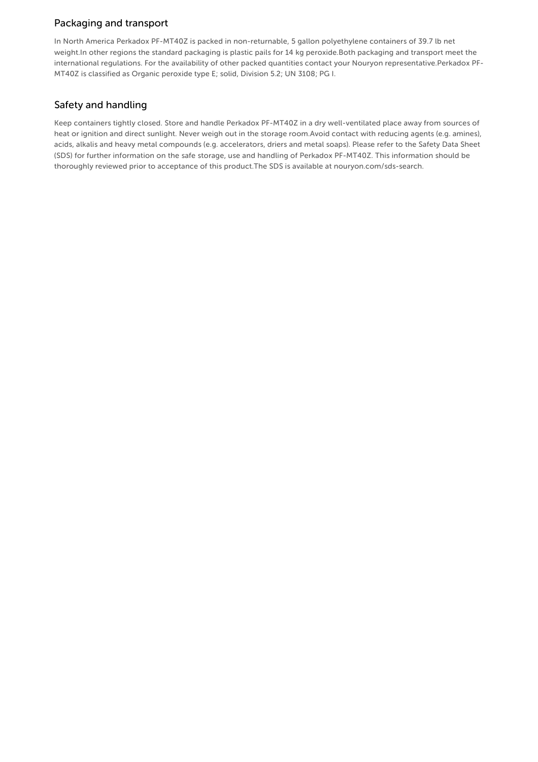## Packaging and transport

In North America Perkadox PF-MT40Z is packed in non-returnable, 5 gallon polyethylene containers of 39.7 lb net weight.In other regions the standard packaging is plastic pails for 14 kg peroxide.Both packaging and transport meet the international regulations. For the availability of other packed quantities contact your Nouryon representative.Perkadox PF-MT40Z is classified as Organic peroxide type E; solid, Division 5.2; UN 3108; PG I.

## Safety and handling

Keep containers tightly closed. Store and handle Perkadox PF-MT40Z in a dry well-ventilated place away from sources of heat or ignition and direct sunlight. Never weigh out in the storage room.Avoid contact with reducing agents (e.g. amines), acids, alkalis and heavy metal compounds (e.g. accelerators, driers and metal soaps). Please refer to the Safety Data Sheet (SDS) for further information on the safe storage, use and handling of Perkadox PF-MT40Z. This information should be thoroughly reviewed prior to acceptance of this product.The SDS is available at nouryon.com/sds-search.